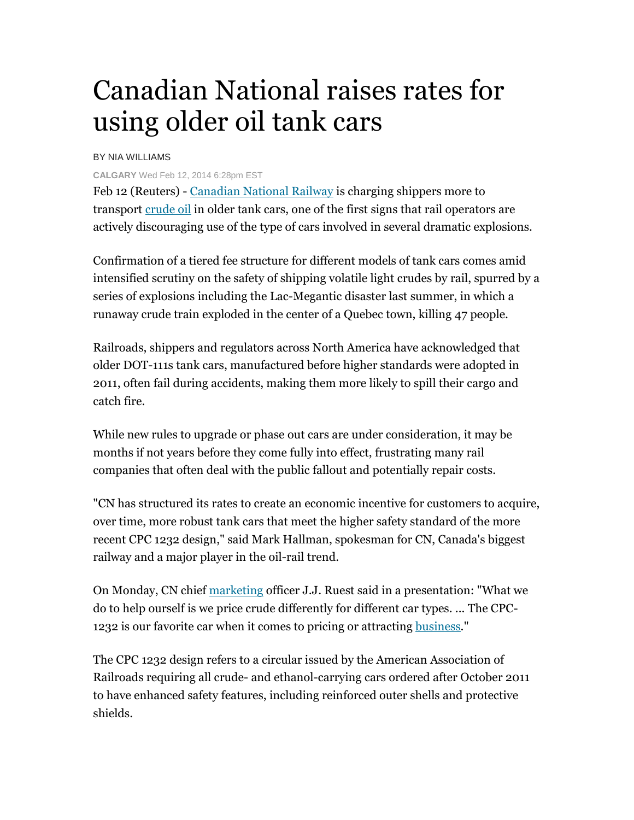## Canadian National raises rates for using older oil tank cars

## BY NIA WILLIAMS

## **CALGARY** Wed Feb 12, 2014 6:28pm EST

Feb 12 (Reuters) - Canadian National Railway is charging shippers more to transport crude oil in older tank cars, one of the first signs that rail operators are actively discouraging use of the type of cars involved in several dramatic explosions.

Confirmation of a tiered fee structure for different models of tank cars comes amid intensified scrutiny on the safety of shipping volatile light crudes by rail, spurred by a series of explosions including the Lac-Megantic disaster last summer, in which a runaway crude train exploded in the center of a Quebec town, killing 47 people.

Railroads, shippers and regulators across North America have acknowledged that older DOT-111s tank cars, manufactured before higher standards were adopted in 2011, often fail during accidents, making them more likely to spill their cargo and catch fire.

While new rules to upgrade or phase out cars are under consideration, it may be months if not years before they come fully into effect, frustrating many rail companies that often deal with the public fallout and potentially repair costs.

"CN has structured its rates to create an economic incentive for customers to acquire, over time, more robust tank cars that meet the higher safety standard of the more recent CPC 1232 design," said Mark Hallman, spokesman for CN, Canada's biggest railway and a major player in the oil-rail trend.

On Monday, CN chief marketing officer J.J. Ruest said in a presentation: "What we do to help ourself is we price crude differently for different car types. ... The CPC-1232 is our favorite car when it comes to pricing or attracting business."

The CPC 1232 design refers to a circular issued by the American Association of Railroads requiring all crude- and ethanol-carrying cars ordered after October 2011 to have enhanced safety features, including reinforced outer shells and protective shields.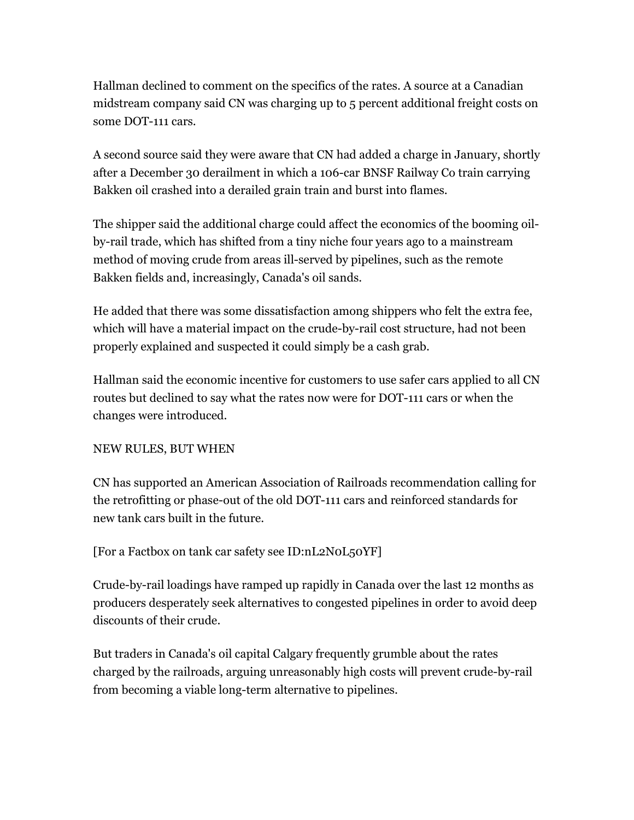Hallman declined to comment on the specifics of the rates. A source at a Canadian midstream company said CN was charging up to 5 percent additional freight costs on some DOT-111 cars.

A second source said they were aware that CN had added a charge in January, shortly after a December 30 derailment in which a 106-car BNSF Railway Co train carrying Bakken oil crashed into a derailed grain train and burst into flames.

The shipper said the additional charge could affect the economics of the booming oilby-rail trade, which has shifted from a tiny niche four years ago to a mainstream method of moving crude from areas ill-served by pipelines, such as the remote Bakken fields and, increasingly, Canada's oil sands.

He added that there was some dissatisfaction among shippers who felt the extra fee, which will have a material impact on the crude-by-rail cost structure, had not been properly explained and suspected it could simply be a cash grab.

Hallman said the economic incentive for customers to use safer cars applied to all CN routes but declined to say what the rates now were for DOT-111 cars or when the changes were introduced.

## NEW RULES, BUT WHEN

CN has supported an American Association of Railroads recommendation calling for the retrofitting or phase-out of the old DOT-111 cars and reinforced standards for new tank cars built in the future.

[For a Factbox on tank car safety see ID:nL2N0L50YF]

Crude-by-rail loadings have ramped up rapidly in Canada over the last 12 months as producers desperately seek alternatives to congested pipelines in order to avoid deep discounts of their crude.

But traders in Canada's oil capital Calgary frequently grumble about the rates charged by the railroads, arguing unreasonably high costs will prevent crude-by-rail from becoming a viable long-term alternative to pipelines.